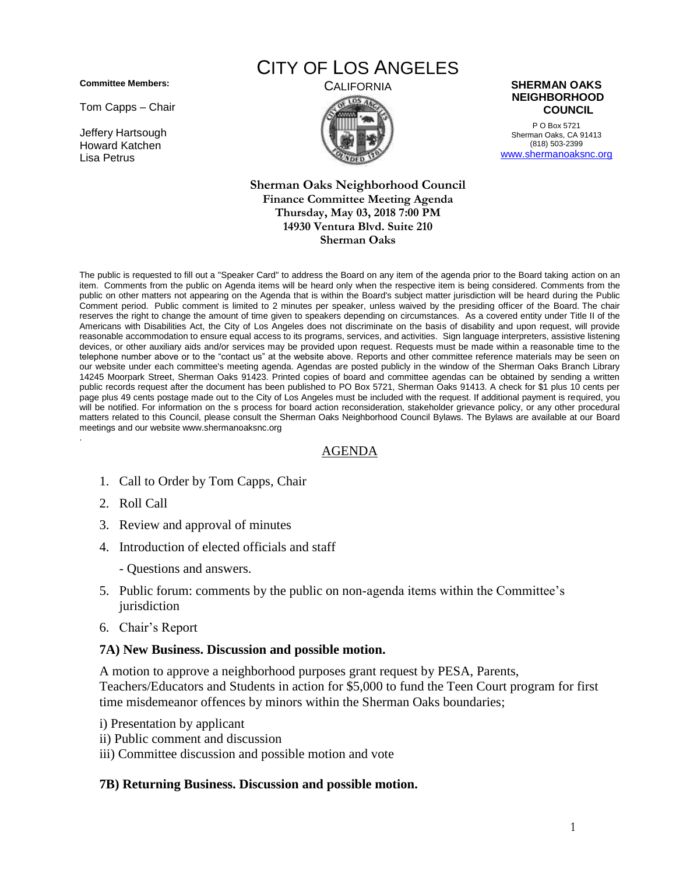**Committee Members:**

Tom Capps – Chair

Jeffery Hartsough Howard Katchen Lisa Petrus

# CITY OF LOS ANGELES



P O Box 5721 Sherman Oaks, CA 91413 (818) 503-2399 [www.shermanoaksnc.org](http://www.shermanoaksnc.org/)

#### **Sherman Oaks Neighborhood Council Finance Committee Meeting Agenda Thursday, May 03, 2018 7:00 PM 14930 Ventura Blvd. Suite 210 Sherman Oaks**

The public is requested to fill out a "Speaker Card" to address the Board on any item of the agenda prior to the Board taking action on an item. Comments from the public on Agenda items will be heard only when the respective item is being considered. Comments from the public on other matters not appearing on the Agenda that is within the Board's subject matter jurisdiction will be heard during the Public Comment period. Public comment is limited to 2 minutes per speaker, unless waived by the presiding officer of the Board. The chair reserves the right to change the amount of time given to speakers depending on circumstances. As a covered entity under Title II of the Americans with Disabilities Act, the City of Los Angeles does not discriminate on the basis of disability and upon request, will provide reasonable accommodation to ensure equal access to its programs, services, and activities. Sign language interpreters, assistive listening devices, or other auxiliary aids and/or services may be provided upon request. Requests must be made within a reasonable time to the telephone number above or to the "contact us" at the website above. Reports and other committee reference materials may be seen on our website under each committee's meeting agenda. Agendas are posted publicly in the window of the Sherman Oaks Branch Library 14245 Moorpark Street, Sherman Oaks 91423. Printed copies of board and committee agendas can be obtained by sending a written public records request after the document has been published to PO Box 5721, Sherman Oaks 91413. A check for \$1 plus 10 cents per page plus 49 cents postage made out to the City of Los Angeles must be included with the request. If additional payment is required, you will be notified. For information on the s process for board action reconsideration, stakeholder grievance policy, or any other procedural matters related to this Council, please consult the Sherman Oaks Neighborhood Council Bylaws. The Bylaws are available at our Board meetings and our website www.shermanoaksnc.org .

## AGENDA

- 1. Call to Order by Tom Capps, Chair
- 2. Roll Call
- 3. Review and approval of minutes
- 4. Introduction of elected officials and staff
	- Questions and answers.
- 5. Public forum: comments by the public on non-agenda items within the Committee's jurisdiction
- 6. Chair's Report

### **7A) New Business. Discussion and possible motion.**

A motion to approve a neighborhood purposes grant request by PESA, Parents, Teachers/Educators and Students in action for \$5,000 to fund the Teen Court program for first time misdemeanor offences by minors within the Sherman Oaks boundaries;

- i) Presentation by applicant
- ii) Public comment and discussion
- iii) Committee discussion and possible motion and vote

### **7B) Returning Business. Discussion and possible motion.**